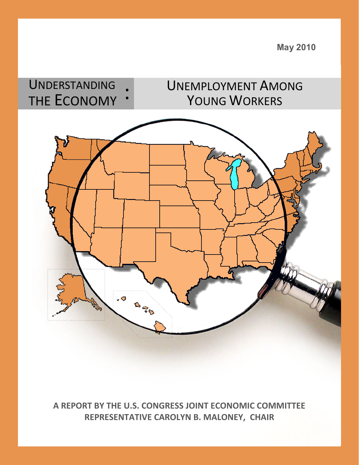UNDERSTANDING UNEMPLOYMENT AMONG THE ECONOMY YOUNG WORKERS .o **Base** 

**A REPORT BY THE U.S. CONGRESS JOINT ECONOMIC COMMITTEE REPRESENTATIVE CAROLYN B. MALONEY, CHAIR** 

 **May 2010**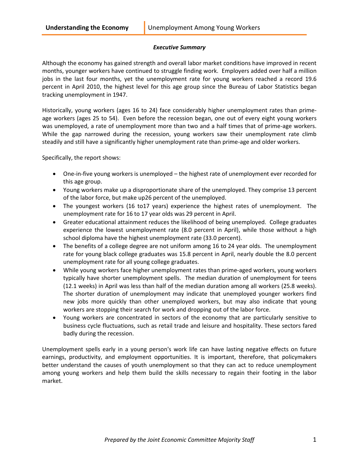# *Executive Summary*

Although the economy has gained strength and overall labor market conditions have improved in recent months, younger workers have continued to struggle finding work. Employers added over half a million jobs in the last four months, yet the unemployment rate for young workers reached a record 19.6 percent in April 2010, the highest level for this age group since the Bureau of Labor Statistics began tracking unemployment in 1947.

Historically, young workers (ages 16 to 24) face considerably higher unemployment rates than primeage workers (ages 25 to 54). Even before the recession began, one out of every eight young workers was unemployed, a rate of unemployment more than two and a half times that of prime-age workers. While the gap narrowed during the recession, young workers saw their unemployment rate climb steadily and still have a significantly higher unemployment rate than prime-age and older workers.

Specifically, the report shows:

- One-in-five young workers is unemployed the highest rate of unemployment ever recorded for this age group.
- Young workers make up a disproportionate share of the unemployed. They comprise 13 percent of the labor force, but make up26 percent of the unemployed.
- The youngest workers (16 to17 years) experience the highest rates of unemployment. The unemployment rate for 16 to 17 year olds was 29 percent in April.
- Greater educational attainment reduces the likelihood of being unemployed. College graduates experience the lowest unemployment rate (8.0 percent in April), while those without a high school diploma have the highest unemployment rate (33.0 percent).
- The benefits of a college degree are not uniform among 16 to 24 year olds. The unemployment rate for young black college graduates was 15.8 percent in April, nearly double the 8.0 percent unemployment rate for all young college graduates.
- While young workers face higher unemployment rates than prime-aged workers, young workers typically have shorter unemployment spells. The median duration of unemployment for teens (12.1 weeks) in April was less than half of the median duration among all workers (25.8 weeks). The shorter duration of unemployment may indicate that unemployed younger workers find new jobs more quickly than other unemployed workers, but may also indicate that young workers are stopping their search for work and dropping out of the labor force.
- Young workers are concentrated in sectors of the economy that are particularly sensitive to business cycle fluctuations, such as retail trade and leisure and hospitality. These sectors fared badly during the recession.

Unemployment spells early in a young person's work life can have lasting negative effects on future earnings, productivity, and employment opportunities. It is important, therefore, that policymakers better understand the causes of youth unemployment so that they can act to reduce unemployment among young workers and help them build the skills necessary to regain their footing in the labor market.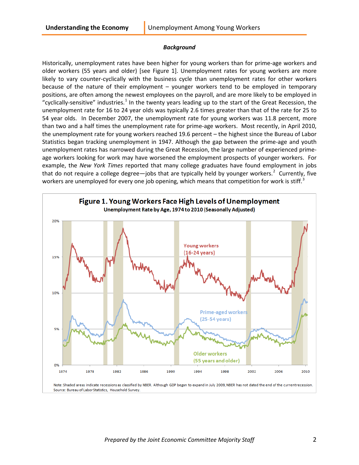#### *Background*

Historically, unemployment rates have been higher for young workers than for prime-age workers and older workers (55 years and older) [see Figure 1]. Unemployment rates for young workers are more likely to vary counter-cyclically with the business cycle than unemployment rates for other workers because of the nature of their employment – younger workers tend to be employed in temporary positions, are often among the newest employees on the payroll, and are more likely to be employed in "cyclically-sensitive" industries.<sup>[1](#page-11-0)</sup> In the twenty years leading up to the start of the Great Recession, the unemployment rate for 16 to 24 year olds was typically 2.6 times greater than that of the rate for 25 to 54 year olds. In December 2007, the unemployment rate for young workers was 11.8 percent, more than two and a half times the unemployment rate for prime-age workers. Most recently, in April 2010, the unemployment rate for young workers reached 19.6 percent – the highest since the Bureau of Labor Statistics began tracking unemployment in 1947. Although the gap between the prime-age and youth unemployment rates has narrowed during the Great Recession, the large number of experienced primeage workers looking for work may have worsened the employment prospects of younger workers. For example, the *New York Times* reported that many college graduates have found employment in jobs that do not require a college degree—jobs that are typically held by younger workers.<sup>[2](#page-11-1)</sup> Currently, five workers are unemployed for every one job opening, which means that competition for work is stiff.<sup>[3](#page-11-2)</sup>

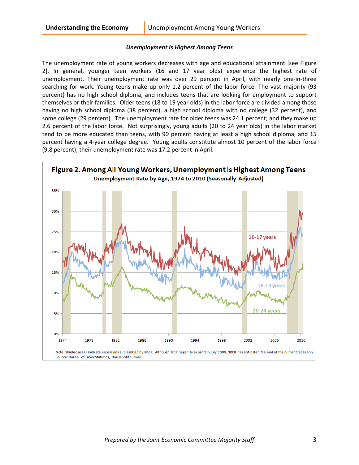#### *Unemployment Is Highest Among Teens*

The unemployment rate of young workers decreases with age and educational attainment [see Figure 2]. In general, younger teen workers (16 and 17 year olds) experience the highest rate of unemployment. Their unemployment rate was over 29 percent in April, with nearly one-in-three searching for work. Young teens make up only 1.2 percent of the labor force. The vast majority (93 percent) has no high school diploma, and includes teens that are looking for employment to support themselves or their families. Older teens (18 to 19 year olds) in the labor force are divided among those having no high school diploma (38 percent), a high school diploma with no college (32 percent), and some college (29 percent). The unemployment rate for older teens was 24.1 percent; and they make up 2.6 percent of the labor force. Not surprisingly, young adults (20 to 24 year olds) in the labor market tend to be more educated than teens, with 90 percent having at least a high school diploma, and 15 percent having a 4-year college degree. Young adults constitute almost 10 percent of the labor force (9.8 percent); their unemployment rate was 17.2 percent in April.

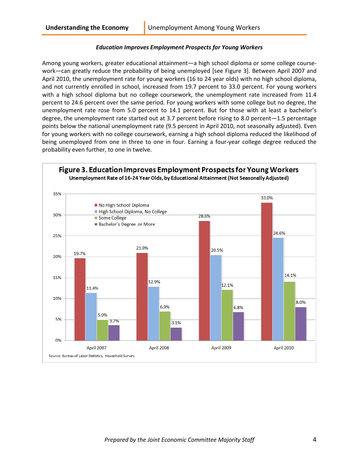# *Education Improves Employment Prospects for Young Workers*

Among young workers, greater educational attainment—a high school diploma or some college coursework—can greatly reduce the probability of being unemployed [see Figure 3]. Between April 2007 and April 2010, the unemployment rate for young workers (16 to 24 year olds) with no high school diploma, and not currently enrolled in school, increased from 19.7 percent to 33.0 percent. For young workers with a high school diploma but no college coursework, the unemployment rate increased from 11.4 percent to 24.6 percent over the same period. For young workers with some college but no degree, the unemployment rate rose from 5.0 percent to 14.1 percent. But for those with at least a bachelor's degree, the unemployment rate started out at 3.7 percent before rising to 8.0 percent—1.5 percentage points below the national unemployment rate (9.5 percent in April 2010, not seasonally adjusted). Even for young workers with no college coursework, earning a high school diploma reduced the likelihood of being unemployed from one in three to one in four. Earning a four-year college degree reduced the probability even further, to one in twelve.

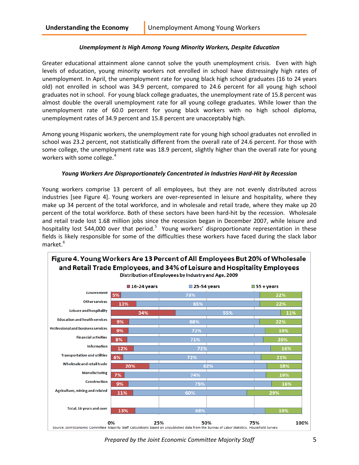### *Unemployment Is High Among Young Minority Workers, Despite Education*

Greater educational attainment alone cannot solve the youth unemployment crisis. Even with high levels of education, young minority workers not enrolled in school have distressingly high rates of unemployment. In April, the unemployment rate for young black high school graduates (16 to 24 years old) not enrolled in school was 34.9 percent, compared to 24.6 percent for all young high school graduates not in school. For young black college graduates, the unemployment rate of 15.8 percent was almost double the overall unemployment rate for all young college graduates. While lower than the unemployment rate of 60.0 percent for young black workers with no high school diploma, unemployment rates of 34.9 percent and 15.8 percent are unacceptably high.

Among young Hispanic workers, the unemployment rate for young high school graduates not enrolled in school was 23.2 percent, not statistically different from the overall rate of 24.6 percent. For those with some college, the unemployment rate was 18.9 percent, slightly higher than the overall rate for young workers with some college.<sup>[4](#page-11-3)</sup>

#### *Young Workers Are Disproportionately Concentrated in Industries Hard-Hit by Recession*

Young workers comprise 13 percent of all employees, but they are not evenly distributed across industries [see Figure 4]. Young workers are over-represented in leisure and hospitality, where they make up 34 percent of the total workforce, and in wholesale and retail trade, where they make up 20 percent of the total workforce. Both of these sectors have been hard-hit by the recession. Wholesale and retail trade lost 1.68 million jobs since the recession began in December 2007, while leisure and hospitality lost [5](#page-11-4)44,000 over that period.<sup>5</sup> Young workers' disproportionate representation in these fields is likely responsible for some of the difficulties these workers have faced during the slack labor market.<sup>[6](#page-11-5)</sup>



*Prepared by the Joint Economic Committee Majority Staff* 5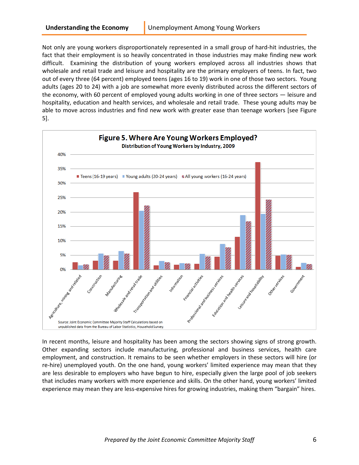Not only are young workers disproportionately represented in a small group of hard-hit industries, the fact that their employment is so heavily concentrated in those industries may make finding new work difficult. Examining the distribution of young workers employed across all industries shows that wholesale and retail trade and leisure and hospitality are the primary employers of teens. In fact, two out of every three (64 percent) employed teens (ages 16 to 19) work in one of those two sectors. Young adults (ages 20 to 24) with a job are somewhat more evenly distributed across the different sectors of the economy, with 60 percent of employed young adults working in one of three sectors — leisure and hospitality, education and health services, and wholesale and retail trade. These young adults may be able to move across industries and find new work with greater ease than teenage workers [see Figure 5].



In recent months, leisure and hospitality has been among the sectors showing signs of strong growth. Other expanding sectors include manufacturing, professional and business services, health care employment, and construction. It remains to be seen whether employers in these sectors will hire (or re-hire) unemployed youth. On the one hand, young workers' limited experience may mean that they are less desirable to employers who have begun to hire, especially given the large pool of job seekers that includes many workers with more experience and skills. On the other hand, young workers' limited experience may mean they are less-expensive hires for growing industries, making them "bargain" hires.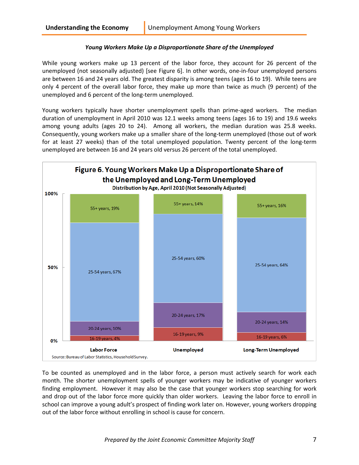# *Young Workers Make Up a Disproportionate Share of the Unemployed*

While young workers make up 13 percent of the labor force, they account for 26 percent of the unemployed (not seasonally adjusted) [see Figure 6]. In other words, one-in-four unemployed persons are between 16 and 24 years old. The greatest disparity is among teens (ages 16 to 19). While teens are only 4 percent of the overall labor force, they make up more than twice as much (9 percent) of the unemployed and 6 percent of the long-term unemployed.

Young workers typically have shorter unemployment spells than prime-aged workers. The median duration of unemployment in April 2010 was 12.1 weeks among teens (ages 16 to 19) and 19.6 weeks among young adults (ages 20 to 24). Among all workers, the median duration was 25.8 weeks. Consequently, young workers make up a smaller share of the long-term unemployed (those out of work for at least 27 weeks) than of the total unemployed population. Twenty percent of the long-term unemployed are between 16 and 24 years old versus 26 percent of the total unemployed.



To be counted as unemployed and in the labor force, a person must actively search for work each month. The shorter unemployment spells of younger workers may be indicative of younger workers finding employment. However it may also be the case that younger workers stop searching for work and drop out of the labor force more quickly than older workers. Leaving the labor force to enroll in school can improve a young adult's prospect of finding work later on. However, young workers dropping out of the labor force without enrolling in school is cause for concern.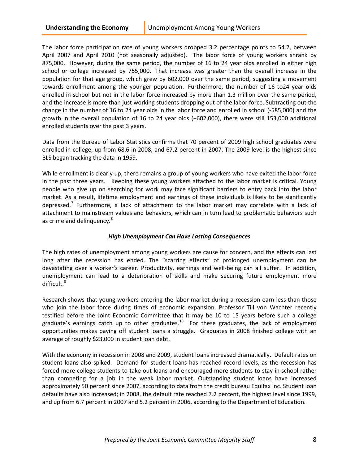The labor force participation rate of young workers dropped 3.2 percentage points to 54.2, between April 2007 and April 2010 (not seasonally adjusted). The labor force of young workers shrank by 875,000. However, during the same period, the number of 16 to 24 year olds enrolled in either high school or college increased by 755,000. That increase was greater than the overall increase in the population for that age group, which grew by 602,000 over the same period, suggesting a movement towards enrollment among the younger population. Furthermore, the number of 16 to24 year olds enrolled in school but not in the labor force increased by more than 1.3 million over the same period, and the increase is more than just working students dropping out of the labor force. Subtracting out the change in the number of 16 to 24 year olds in the labor force and enrolled in school (-585,000) and the growth in the overall population of 16 to 24 year olds (+602,000), there were still 153,000 additional enrolled students over the past 3 years.

Data from the Bureau of Labor Statistics confirms that 70 percent of 2009 high school graduates were enrolled in college, up from 68.6 in 2008, and 67.2 percent in 2007. The 2009 level is the highest since BLS began tracking the data in 1959.

While enrollment is clearly up, there remains a group of young workers who have exited the labor force in the past three years. Keeping these young workers attached to the labor market is critical. Young people who give up on searching for work may face significant barriers to entry back into the labor market. As a result, lifetime employment and earnings of these individuals is likely to be significantly depressed.<sup>[7](#page-11-6)</sup> Furthermore, a lack of attachment to the labor market may correlate with a lack of attachment to mainstream values and behaviors, which can in turn lead to problematic behaviors such as crime and delinguency.<sup>[8](#page-11-7)</sup>

#### *High Unemployment Can Have Lasting Consequences*

The high rates of unemployment among young workers are cause for concern, and the effects can last long after the recession has ended. The "scarring effects" of prolonged unemployment can be devastating over a worker's career. Productivity, earnings and well-being can all suffer. In addition, unemployment can lead to a deterioration of skills and make securing future employment more difficult.<sup>[9](#page-11-8)</sup>

Research shows that young workers entering the labor market during a recession earn less than those who join the labor force during times of economic expansion. Professor Till von Wachter recently testified before the Joint Economic Committee that it may be 10 to 15 years before such a college graduate's earnings catch up to other graduates.<sup>[10](#page-11-9)</sup> For these graduates, the lack of employment opportunities makes paying off student loans a struggle. Graduates in 2008 finished college with an average of roughly \$23,000 in student loan debt.

With the economy in recession in 2008 and 2009, student loans increased dramatically. Default rates on student loans also spiked. Demand for student loans has reached record levels, as the recession has forced more college students to take out loans and encouraged more students to stay in school rather than competing for a job in the weak labor market. Outstanding student loans have increased approximately 50 percent since 2007, according to data from the credit bureau Equifax Inc. Student loan defaults have also increased; in 2008, the default rate reached 7.2 percent, the highest level since 1999, and up from 6.7 percent in 2007 and 5.2 percent in 2006, according to the Department of Education.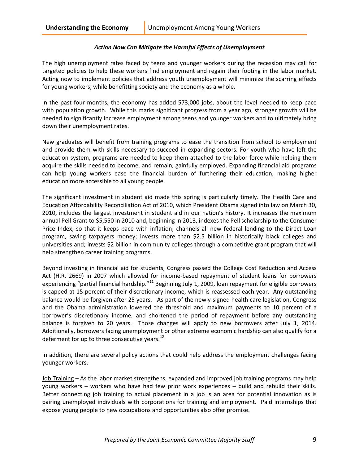# *Action Now Can Mitigate the Harmful Effects of Unemployment*

The high unemployment rates faced by teens and younger workers during the recession may call for targeted policies to help these workers find employment and regain their footing in the labor market. Acting now to implement policies that address youth unemployment will minimize the scarring effects for young workers, while benefitting society and the economy as a whole.

In the past four months, the economy has added 573,000 jobs, about the level needed to keep pace with population growth. While this marks significant progress from a year ago, stronger growth will be needed to significantly increase employment among teens and younger workers and to ultimately bring down their unemployment rates.

New graduates will benefit from training programs to ease the transition from school to employment and provide them with skills necessary to succeed in expanding sectors. For youth who have left the education system, programs are needed to keep them attached to the labor force while helping them acquire the skills needed to become, and remain, gainfully employed. Expanding financial aid programs can help young workers ease the financial burden of furthering their education, making higher education more accessible to all young people.

The significant investment in student aid made this spring is particularly timely. The [Health Care and](http://www.whitehouse.gov/blog/2010/03/30/meaningful-progress-american-people)  [Education Affordability Reconciliation Act of 2010,](http://www.whitehouse.gov/blog/2010/03/30/meaningful-progress-american-people) which President Obama signed into law on March 30, 2010, includes the largest investment in student aid in our nation's history. It increases the maximum annual Pell Grant to \$5,550 in 2010 and, beginning in 2013, indexes the Pell scholarship to the Consumer Price Index, so that it keeps pace with inflation; channels all new federal lending to the Direct Loan program, saving taxpayers money; invests more than \$2.5 billion in historically black colleges and universities and; invests \$2 billion in community colleges through a competitive grant program that will help strengthen career training programs.

Beyond investing in financial aid for students, Congress passed the College Cost Reduction and Access Act (H.R. 2669) in 2007 which allowed for income-based repayment of student loans for borrowers experiencing "partial financial hardship."<sup>[11](#page-11-10)</sup> Beginning July 1, 2009, loan repayment for eligible borrowers is capped at 15 percent of their discretionary income, which is reassessed each year. Any outstanding balance would be forgiven after 25 years. As part of the newly-signed health care legislation, Congress and the Obama administration lowered the threshold and maximum payments to 10 percent of a borrower's discretionary income, and shortened the period of repayment before any outstanding balance is forgiven to 20 years. Those changes will apply to new borrowers after July 1, 2014. Additionally, borrowers facing unemployment or other extreme economic hardship can also qualify for a deferment for up to three consecutive years. $^{12}$ 

In addition, there are several policy actions that could help address the employment challenges facing younger workers.

Job Training – As the labor market strengthens, expanded and improved job training programs may help young workers – workers who have had few prior work experiences – build and rebuild their skills. Better connecting job training to actual placement in a job is an area for potential innovation as is pairing unemployed individuals with corporations for training and employment. Paid internships that expose young people to new occupations and opportunities also offer promise.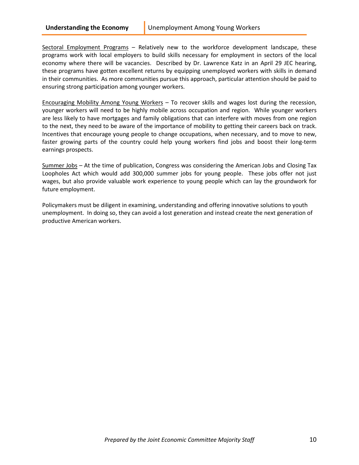Sectoral Employment Programs – Relatively new to the workforce development landscape, these programs work with local employers to build skills necessary for employment in sectors of the local economy where there will be vacancies. Described by Dr. Lawrence Katz in an April 29 JEC hearing, these programs have gotten excellent returns by equipping unemployed workers with skills in demand in their communities. As more communities pursue this approach, particular attention should be paid to ensuring strong participation among younger workers.

Encouraging Mobility Among Young Workers – To recover skills and wages lost during the recession, younger workers will need to be highly mobile across occupation and region. While younger workers are less likely to have mortgages and family obligations that can interfere with moves from one region to the next, they need to be aware of the importance of mobility to getting their careers back on track. Incentives that encourage young people to change occupations, when necessary, and to move to new, faster growing parts of the country could help young workers find jobs and boost their long-term earnings prospects.

Summer Jobs – At the time of publication, Congress was considering the American Jobs and Closing Tax Loopholes Act which would add 300,000 summer jobs for young people. These jobs offer not just wages, but also provide valuable work experience to young people which can lay the groundwork for future employment.

Policymakers must be diligent in examining, understanding and offering innovative solutions to youth unemployment. In doing so, they can avoid a lost generation and instead create the next generation of productive American workers.